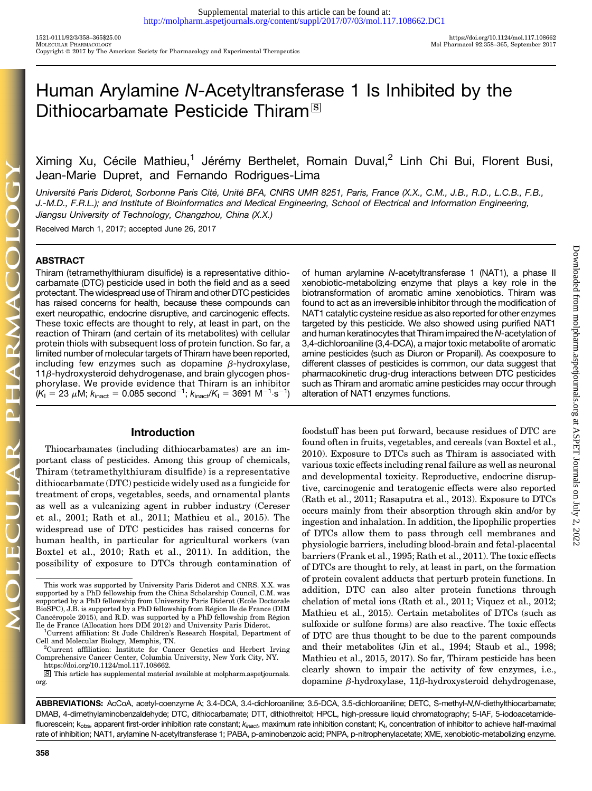# Human Arylamine N-Acetyltransferase 1 Is Inhibited by the Dithiocarbamate Pesticide Thiram<sup>®</sup>

Ximing Xu, Cécile Mathieu,<sup>1</sup> Jérémy Berthelet, Romain Duval,<sup>2</sup> Linh Chi Bui, Florent Busi, Jean-Marie Dupret, and Fernando Rodrigues-Lima

Université Paris Diderot, Sorbonne Paris Cité, Unité BFA, CNRS UMR 8251, Paris, France (X.X., C.M., J.B., R.D., L.C.B., F.B., J.-M.D., F.R.L.); and Institute of Bioinformatics and Medical Engineering, School of Electrical and Information Engineering, Jiangsu University of Technology, Changzhou, China (X.X.)

Received March 1, 2017; accepted June 26, 2017

# ABSTRACT

Thiram (tetramethylthiuram disulfide) is a representative dithiocarbamate (DTC) pesticide used in both the field and as a seed protectant. The widespread use of Thiram and other DTC pesticides has raised concerns for health, because these compounds can exert neuropathic, endocrine disruptive, and carcinogenic effects. These toxic effects are thought to rely, at least in part, on the reaction of Thiram (and certain of its metabolites) with cellular protein thiols with subsequent loss of protein function. So far, a limited number of molecular targets of Thiram have been reported, including few enzymes such as dopamine  $\beta$ -hydroxylase,  $11\beta$ -hydroxysteroid dehydrogenase, and brain glycogen phosphorylase. We provide evidence that Thiram is an inhibitor  $(\mathsf{K}_{\mathsf{I}} = 23\;\mu\mathsf{M};\mathsf{k}_{\mathsf{inact}} = 0.085 \;\mathsf{second}^{-1}; \mathsf{k}_{\mathsf{inact}}/\mathsf{K}_{\mathsf{I}} = 3691 \;\mathsf{M}^{-1}\!\cdot\!\mathsf{s}^{-1})$ 

## Introduction

Thiocarbamates (including dithiocarbamates) are an important class of pesticides. Among this group of chemicals, Thiram (tetramethylthiuram disulfide) is a representative dithiocarbamate (DTC) pesticide widely used as a fungicide for treatment of crops, vegetables, seeds, and ornamental plants as well as a vulcanizing agent in rubber industry (Cereser et al., 2001; Rath et al., 2011; Mathieu et al., 2015). The widespread use of DTC pesticides has raised concerns for human health, in particular for agricultural workers (van Boxtel et al., 2010; Rath et al., 2011). In addition, the possibility of exposure to DTCs through contamination of of human arylamine N-acetyltransferase 1 (NAT1), a phase II xenobiotic-metabolizing enzyme that plays a key role in the biotransformation of aromatic amine xenobiotics. Thiram was found to act as an irreversible inhibitor through the modification of NAT1 catalytic cysteine residue as also reported for other enzymes targeted by this pesticide. We also showed using purified NAT1 and human keratinocytes that Thiram impaired the N-acetylation of 3,4-dichloroaniline (3,4-DCA), a major toxic metabolite of aromatic amine pesticides (such as Diuron or Propanil). As coexposure to different classes of pesticides is common, our data suggest that pharmacokinetic drug-drug interactions between DTC pesticides such as Thiram and aromatic amine pesticides may occur through alteration of NAT1 enzymes functions.

foodstuff has been put forward, because residues of DTC are found often in fruits, vegetables, and cereals (van Boxtel et al., 2010). Exposure to DTCs such as Thiram is associated with various toxic effects including renal failure as well as neuronal and developmental toxicity. Reproductive, endocrine disruptive, carcinogenic and teratogenic effects were also reported (Rath et al., 2011; Rasaputra et al., 2013). Exposure to DTCs occurs mainly from their absorption through skin and/or by ingestion and inhalation. In addition, the lipophilic properties of DTCs allow them to pass through cell membranes and physiologic barriers, including blood-brain and fetal-placental barriers (Frank et al., 1995; Rath et al., 2011). The toxic effects of DTCs are thought to rely, at least in part, on the formation of protein covalent adducts that perturb protein functions. In addition, DTC can also alter protein functions through chelation of metal ions (Rath et al., 2011; Viquez et al., 2012; Mathieu et al., 2015). Certain metabolites of DTCs (such as sulfoxide or sulfone forms) are also reactive. The toxic effects of DTC are thus thought to be due to the parent compounds and their metabolites (Jin et al., 1994; Staub et al., 1998; Mathieu et al., 2015, 2017). So far, Thiram pesticide has been clearly shown to impair the activity of few enzymes, i.e., dopamine  $\beta$ -hydroxylase, 11 $\beta$ -hydroxysteroid dehydrogenase,

ABBREVIATIONS: AcCoA, acetyl-coenzyme A; 3.4-DCA, 3.4-dichloroaniline; 3.5-DCA, 3.5-dichloroaniline; DETC, S-methyl-N,N-diethylthiocarbamate; DMAB, 4-dimethylaminobenzaldehyde; DTC, dithiocarbamate; DTT, dithiothreitol; HPCL, high-pressure liquid chromatography; 5-IAF, 5-iodoacetamidefluorescein; k<sub>obs</sub>, apparent first-order inhibition rate constant; k<sub>inact</sub>, maximum rate inhibition constant; K<sub>i</sub>, concentration of inhibitor to achieve half-maximal rate of inhibition; NAT1, arylamine N-acetyltransferase 1; PABA, p-aminobenzoic acid; PNPA, p-nitrophenylacetate; XME, xenobiotic-metabolizing enzyme.

This work was supported by University Paris Diderot and CNRS. X.X. was supported by a PhD fellowship from the China Scholarship Council, C.M. was supported by a PhD fellowship from University Paris Diderot (Ecole Doctorale BioSPC), J.B. is supported by a PhD fellowship from Région Ile de France (DIM Cancéropole 2015), and R.D. was supported by a PhD fellowship from Région Ile de France (Allocation hors DIM 2012) and University Paris Diderot. <sup>1</sup>

Current affiliation: St Jude Children's Research Hospital, Department of Cell and Molecular Biology, Memphis, TN. <sup>2</sup>

Current affiliation: Institute for Cancer Genetics and Herbert Irving Comprehensive Cancer Center, Columbia University, New York City, NY. [https://doi.org/10.1124/mol.117.108662.](https://doi.org/10.1124/mol.117.108662)

s This article has supplemental material available at [molpharm.aspetjournals.](http://molpharm.aspetjournals.org) [org](http://molpharm.aspetjournals.org).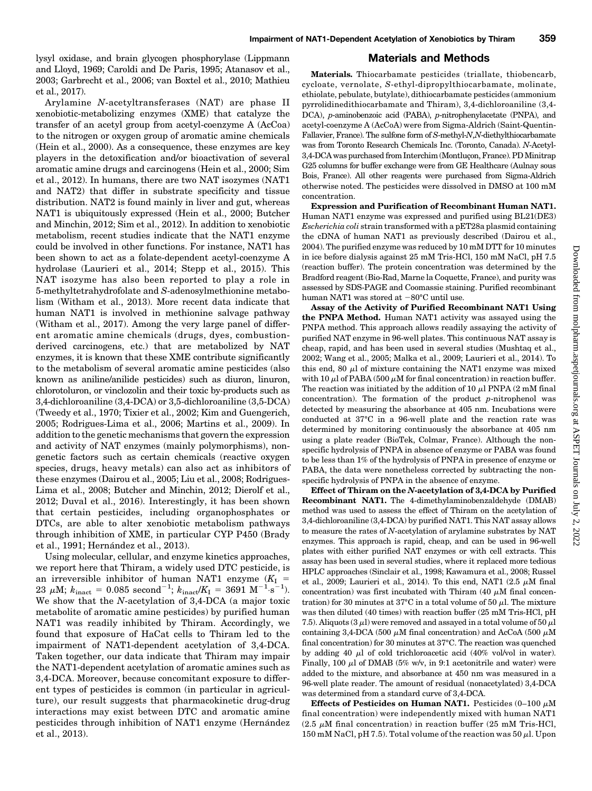lysyl oxidase, and brain glycogen phosphorylase (Lippmann and Lloyd, 1969; Caroldi and De Paris, 1995; Atanasov et al., 2003; Garbrecht et al., 2006; van Boxtel et al., 2010; Mathieu et al., 2017).

Arylamine N-acetyltransferases (NAT) are phase II xenobiotic-metabolizing enzymes (XME) that catalyze the transfer of an acetyl group from acetyl-coenzyme A (AcCoa) to the nitrogen or oxygen group of aromatic amine chemicals (Hein et al., 2000). As a consequence, these enzymes are key players in the detoxification and/or bioactivation of several aromatic amine drugs and carcinogens (Hein et al., 2000; Sim et al., 2012). In humans, there are two NAT isozymes (NAT1 and NAT2) that differ in substrate specificity and tissue distribution. NAT2 is found mainly in liver and gut, whereas NAT1 is ubiquitously expressed (Hein et al., 2000; Butcher and Minchin, 2012; Sim et al., 2012). In addition to xenobiotic metabolism, recent studies indicate that the NAT1 enzyme could be involved in other functions. For instance, NAT1 has been shown to act as a folate-dependent acetyl-coenzyme A hydrolase (Laurieri et al., 2014; Stepp et al., 2015). This NAT isozyme has also been reported to play a role in 5-methyltetrahydrofolate and S-adenosylmethionine metabolism (Witham et al., 2013). More recent data indicate that human NAT1 is involved in methionine salvage pathway (Witham et al., 2017). Among the very large panel of different aromatic amine chemicals (drugs, dyes, combustionderived carcinogens, etc.) that are metabolized by NAT enzymes, it is known that these XME contribute significantly to the metabolism of several aromatic amine pesticides (also known as aniline/anilide pesticides) such as diuron, linuron, chlorotoluron, or vinclozolin and their toxic by-products such as 3,4-dichloroaniline (3,4-DCA) or 3,5-dichloroaniline (3,5-DCA) (Tweedy et al., 1970; Tixier et al., 2002; Kim and Guengerich, 2005; Rodrigues-Lima et al., 2006; Martins et al., 2009). In addition to the genetic mechanisms that govern the expression and activity of NAT enzymes (mainly polymorphisms), nongenetic factors such as certain chemicals (reactive oxygen species, drugs, heavy metals) can also act as inhibitors of these enzymes (Dairou et al., 2005; Liu et al., 2008; Rodrigues-Lima et al., 2008; Butcher and Minchin, 2012; Dierolf et al., 2012; Duval et al., 2016). Interestingly, it has been shown that certain pesticides, including organophosphates or DTCs, are able to alter xenobiotic metabolism pathways through inhibition of XME, in particular CYP P450 (Brady et al., 1991; Hernández et al., 2013).

Using molecular, cellular, and enzyme kinetics approaches, we report here that Thiram, a widely used DTC pesticide, is an irreversible inhibitor of human NAT1 enzyme  $(K_I =$ 23  $\mu$ M;  $k_{\text{inact}} = 0.085 \text{ second}^{-1}$ ;  $k_{\text{inact}}/K_{\text{I}} = 3691 \text{ M}^{-1} \text{·s}^{-1}$ ). We show that the N-acetylation of 3,4-DCA (a major toxic metabolite of aromatic amine pesticides) by purified human NAT1 was readily inhibited by Thiram. Accordingly, we found that exposure of HaCat cells to Thiram led to the impairment of NAT1-dependent acetylation of 3,4-DCA. Taken together, our data indicate that Thiram may impair the NAT1-dependent acetylation of aromatic amines such as 3,4-DCA. Moreover, because concomitant exposure to different types of pesticides is common (in particular in agriculture), our result suggests that pharmacokinetic drug-drug interactions may exist between DTC and aromatic amine pesticides through inhibition of NAT1 enzyme (Hernández et al., 2013).

### Materials and Methods

Materials. Thiocarbamate pesticides (triallate, thiobencarb, cycloate, vernolate, S-ethyl-dipropylthiocarbamate, molinate, ethiolate, pebulate, butylate), dithiocarbamate pesticides (ammonium pyrrolidinedithiocarbamate and Thiram), 3,4-dichloroaniline (3,4- DCA), p-aminobenzoic acid (PABA), p-nitrophenylacetate (PNPA), and acetyl-coenzyme A (AcCoA) were from Sigma-Aldrich (Saint-Quentin-Fallavier, France). The sulfone form of S-methyl-N,N-diethylthiocarbamate was from Toronto Research Chemicals Inc. (Toronto, Canada). N-Acetyl-3,4-DCA was purchased from Interchim (Montluçon, France). PD Minitrap G25 columns for buffer exchange were from GE Healthcare (Aulnay sous Bois, France). All other reagents were purchased from Sigma-Aldrich otherwise noted. The pesticides were dissolved in DMSO at 100 mM concentration.

Expression and Purification of Recombinant Human NAT1. Human NAT1 enzyme was expressed and purified using BL21(DE3) Escherichia coli strain transformed with a pET28a plasmid containing the cDNA of human NAT1 as previously described (Dairou et al., 2004). The purified enzyme was reduced by 10 mM DTT for 10 minutes in ice before dialysis against 25 mM Tris-HCl, 150 mM NaCl, pH 7.5 (reaction buffer). The protein concentration was determined by the Bradford reagent (Bio-Rad, Marne la Coquette, France), and purity was assessed by SDS-PAGE and Coomassie staining. Purified recombinant human NAT1 was stored at  $-80^{\circ}$ C until use.

Assay of the Activity of Purified Recombinant NAT1 Using the PNPA Method. Human NAT1 activity was assayed using the PNPA method. This approach allows readily assaying the activity of purified NAT enzyme in 96-well plates. This continuous NAT assay is cheap, rapid, and has been used in several studies (Mushtaq et al., 2002; Wang et al., 2005; Malka et al., 2009; Laurieri et al., 2014). To this end, 80  $\mu$ l of mixture containing the NAT1 enzyme was mixed with 10  $\mu$ l of PABA (500  $\mu$ M for final concentration) in reaction buffer. The reaction was initiated by the addition of 10  $\mu$ l PNPA (2 mM final concentration). The formation of the product  $p$ -nitrophenol was detected by measuring the absorbance at 405 nm. Incubations were conducted at 37°C in a 96-well plate and the reaction rate was determined by monitoring continuously the absorbance at 405 nm using a plate reader (BioTek, Colmar, France). Although the nonspecific hydrolysis of PNPA in absence of enzyme or PABA was found to be less than 1% of the hydrolysis of PNPA in presence of enzyme or PABA, the data were nonetheless corrected by subtracting the nonspecific hydrolysis of PNPA in the absence of enzyme.

Effect of Thiram on the N-acetylation of 3,4-DCA by Purified Recombinant NAT1. The 4-dimethylaminobenzaldehyde (DMAB) method was used to assess the effect of Thiram on the acetylation of 3,4-dichloroaniline (3,4-DCA) by purified NAT1. This NAT assay allows to measure the rates of N-acetylation of arylamine substrates by NAT enzymes. This approach is rapid, cheap, and can be used in 96-well plates with either purified NAT enzymes or with cell extracts. This assay has been used in several studies, where it replaced more tedious HPLC approaches (Sinclair et al., 1998; Kawamura et al., 2008; Russel et al., 2009; Laurieri et al., 2014). To this end, NAT1  $(2.5 \mu M)$  final concentration) was first incubated with Thiram (40  $\mu$ M final concentration) for 30 minutes at 37°C in a total volume of 50  $\mu$ l. The mixture was then diluted (40 times) with reaction buffer (25 mM Tris-HCl, pH 7.5). Aliquots (3  $\mu$ l) were removed and assayed in a total volume of 50  $\mu$ l containing 3,4-DCA (500  $\mu$ M final concentration) and AcCoA (500  $\mu$ M final concentration) for 30 minutes at 37°C. The reaction was quenched by adding 40  $\mu$ l of cold trichloroacetic acid (40% vol/vol in water). Finally, 100  $\mu$ l of DMAB (5% w/v, in 9:1 acetonitrile and water) were added to the mixture, and absorbance at 450 nm was measured in a 96-well plate reader. The amount of residual (nonacetylated) 3,4-DCA was determined from a standard curve of 3,4-DCA.

Effects of Pesticides on Human NAT1. Pesticides  $(0-100 \mu M)$ final concentration) were independently mixed with human NAT1 (2.5  $\mu$ M final concentration) in reaction buffer (25 mM Tris-HCl, 150 mM NaCl, pH 7.5). Total volume of the reaction was 50  $\mu$ l. Upon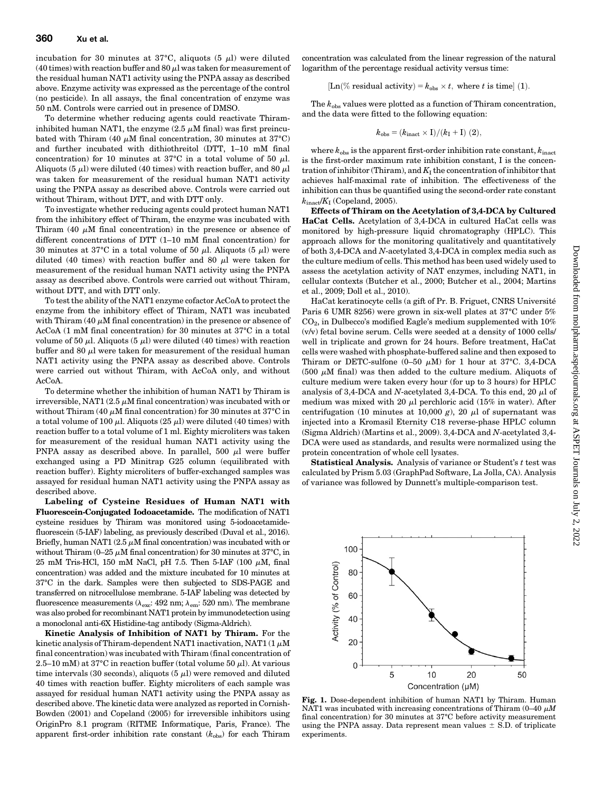incubation for 30 minutes at 37°C, aliquots (5  $\mu$ l) were diluted (40 times) with reaction buffer and 80  $\mu$ l was taken for measurement of the residual human NAT1 activity using the PNPA assay as described above. Enzyme activity was expressed as the percentage of the control (no pesticide). In all assays, the final concentration of enzyme was 50 nM. Controls were carried out in presence of DMSO.

To determine whether reducing agents could reactivate Thiraminhibited human NAT1, the enzyme  $(2.5 \mu M \text{ final})$  was first preincubated with Thiram (40  $\mu$ M final concentration, 30 minutes at 37°C) and further incubated with dithiothreitol (DTT, 1–10 mM final concentration) for 10 minutes at 37°C in a total volume of 50  $\mu$ l. Aliquots (5  $\mu$ ) were diluted (40 times) with reaction buffer, and 80  $\mu$ was taken for measurement of the residual human NAT1 activity using the PNPA assay as described above. Controls were carried out without Thiram, without DTT, and with DTT only.

To investigate whether reducing agents could protect human NAT1 from the inhibitory effect of Thiram, the enzyme was incubated with Thiram  $(40 \mu M)$  final concentration) in the presence or absence of different concentrations of DTT (1–10 mM final concentration) for 30 minutes at 37°C in a total volume of 50  $\mu$ l. Aliquots (5  $\mu$ l) were diluted (40 times) with reaction buffer and 80  $\mu$ l were taken for measurement of the residual human NAT1 activity using the PNPA assay as described above. Controls were carried out without Thiram, without DTT, and with DTT only.

To test the ability of the NAT1 enzyme cofactor AcCoA to protect the enzyme from the inhibitory effect of Thiram, NAT1 was incubated with Thiram (40  $\mu$ M final concentration) in the presence or absence of AcCoA (1 mM final concentration) for 30 minutes at 37°C in a total volume of 50  $\mu$ l. Aliquots (5  $\mu$ l) were diluted (40 times) with reaction buffer and 80  $\mu$ l were taken for measurement of the residual human NAT1 activity using the PNPA assay as described above. Controls were carried out without Thiram, with AcCoA only, and without AcCoA.

To determine whether the inhibition of human NAT1 by Thiram is irreversible, NAT1 (2.5  $\mu$ M final concentration) was incubated with or without Thiram (40  $\mu$ M final concentration) for 30 minutes at 37°C in a total volume of 100  $\mu$ l. Aliquots (25  $\mu$ l) were diluted (40 times) with reaction buffer to a total volume of 1 ml. Eighty microliters was taken for measurement of the residual human NAT1 activity using the PNPA assay as described above. In parallel, 500  $\mu$ l were buffer exchanged using a PD Minitrap G25 column (equilibrated with reaction buffer). Eighty microliters of buffer-exchanged samples was assayed for residual human NAT1 activity using the PNPA assay as described above.

Labeling of Cysteine Residues of Human NAT1 with Fluorescein-Conjugated Iodoacetamide. The modification of NAT1 cysteine residues by Thiram was monitored using 5-iodoacetamidefluorescein (5-IAF) labeling, as previously described (Duval et al., 2016). Briefly, human NAT1  $(2.5 \mu M \text{ final concentration})$  was incubated with or without Thiram (0–25  $\mu$ M final concentration) for 30 minutes at 37°C, in 25 mM Tris-HCl, 150 mM NaCl, pH 7.5. Then 5-IAF (100  $\mu$ M, final concentration) was added and the mixture incubated for 10 minutes at 37°C in the dark. Samples were then subjected to SDS-PAGE and transferred on nitrocellulose membrane. 5-IAF labeling was detected by fluorescence measurements ( $\lambda_{\rm exc}$ : 492 nm;  $\lambda_{\rm em}$ : 520 nm). The membrane was also probed for recombinant NAT1 protein by immunodetection using a monoclonal anti-6X Histidine-tag antibody (Sigma-Aldrich).

Kinetic Analysis of Inhibition of NAT1 by Thiram. For the kinetic analysis of Thiram-dependent NAT1 inactivation, NAT1  $(1 \mu M)$ final concentration) was incubated with Thiram (final concentration of 2.5–10 mM) at 37°C in reaction buffer (total volume 50  $\mu$ l). At various time intervals (30 seconds), aliquots (5  $\mu$ l) were removed and diluted 40 times with reaction buffer. Eighty microliters of each sample was assayed for residual human NAT1 activity using the PNPA assay as described above. The kinetic data were analyzed as reported in Cornish-Bowden (2001) and Copeland (2005) for irreversible inhibitors using OriginPro 8.1 program (RITME Informatique, Paris, France). The apparent first-order inhibition rate constant  $(k_{obs})$  for each Thiram

concentration was calculated from the linear regression of the natural logarithm of the percentage residual activity versus time:

[Ln(% residual activity) =  $k_{obs} \times t$ , where t is time] (1).

The  $k_{obs}$  values were plotted as a function of Thiram concentration, and the data were fitted to the following equation:

$$
k_{\rm obs} = (k_{\rm inact} \times {\rm I})/(k_{\rm I}+{\rm I})~(2),
$$

where  $k_{\text{obs}}$  is the apparent first-order inhibition rate constant,  $k_{\text{inact}}$ is the first-order maximum rate inhibition constant, I is the concentration of inhibitor (Thiram), and  $K_I$  the concentration of inhibitor that achieves half-maximal rate of inhibition. The effectiveness of the inhibition can thus be quantified using the second-order rate constant  $k_{\text{inact}}/K$ <sup>I</sup> (Copeland, 2005).

Effects of Thiram on the Acetylation of 3,4-DCA by Cultured HaCat Cells. Acetylation of 3,4-DCA in cultured HaCat cells was monitored by high-pressure liquid chromatography (HPLC). This approach allows for the monitoring qualitatively and quantitatively of both 3,4-DCA and N-acetylated 3,4-DCA in complex media such as the culture medium of cells. This method has been used widely used to assess the acetylation activity of NAT enzymes, including NAT1, in cellular contexts (Butcher et al., 2000; Butcher et al., 2004; Martins et al., 2009; Doll et al., 2010).

HaCat keratinocyte cells (a gift of Pr. B. Friguet, CNRS Université Paris 6 UMR 8256) were grown in six-well plates at 37°C under 5%  $CO<sub>2</sub>$ , in Dulbecco's modified Eagle's medium supplemented with  $10\%$ (v/v) fetal bovine serum. Cells were seeded at a density of 1000 cells/ well in triplicate and grown for 24 hours. Before treatment, HaCat cells were washed with phosphate-buffered saline and then exposed to Thiram or DETC-sulfone  $(0-50 \mu M)$  for 1 hour at 37°C. 3,4-DCA (500  $\mu$ M final) was then added to the culture medium. Aliquots of culture medium were taken every hour (for up to 3 hours) for HPLC analysis of 3,4-DCA and N-acetylated 3,4-DCA. To this end, 20  $\mu$ l of medium was mixed with 20  $\mu$ l perchloric acid (15% in water). After centrifugation (10 minutes at 10,000 g), 20  $\mu$ l of supernatant was injected into a Kromasil Eternity C18 reverse-phase HPLC column (Sigma Aldrich) (Martins et al., 2009). 3,4-DCA and N-acetylated 3,4- DCA were used as standards, and results were normalized using the protein concentration of whole cell lysates.

Statistical Analysis. Analysis of variance or Student's t test was calculated by Prism 5.03 (GraphPad Software, La Jolla, CA). Analysis of variance was followed by Dunnett's multiple-comparison test.



Fig. 1. Dose-dependent inhibition of human NAT1 by Thiram. Human NAT1 was incubated with increasing concentrations of Thiram (0-40  $\mu$ M final concentration) for 30 minutes at 37°C before activity measurement using the PNPA assay. Data represent mean values  $\pm$  S.D. of triplicate experiments.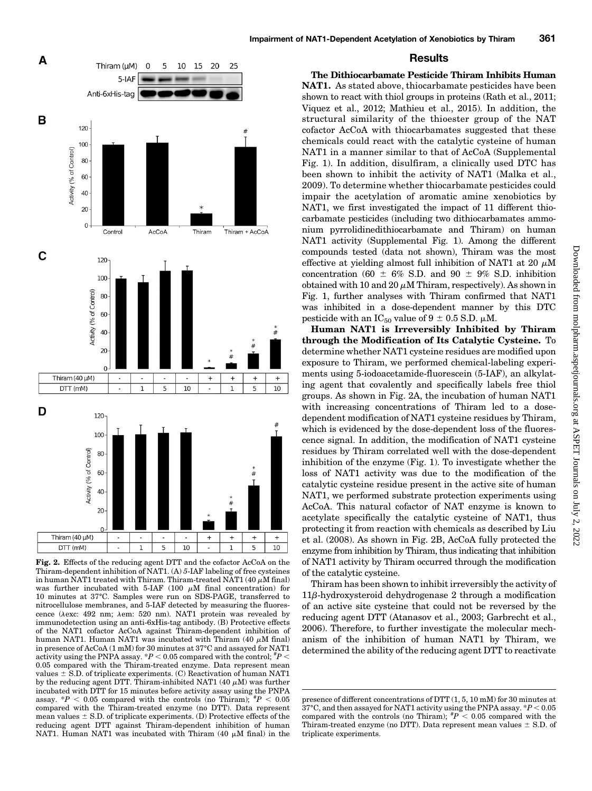



Fig. 2. Effects of the reducing agent DTT and the cofactor AcCoA on the Thiram-dependent inhibition of NAT1. (A) 5-IAF labeling of free cysteines in human NAT1 treated with Thiram. Thiram-treated NAT1 (40  $\mu$ M final) was further incubated with 5-IAF (100  $\mu$ M final concentration) for 10 minutes at 37°C. Samples were run on SDS-PAGE, transferred to nitrocellulose membranes, and 5-IAF detected by measuring the fluorescence ( $\lambda$ exc: 492 nm;  $\lambda$ em: 520 nm). NAT1 protein was revealed by immunodetection using an anti-6xHis-tag antibody. (B) Protective effects of the NAT1 cofactor AcCoA against Thiram-dependent inhibition of human NAT1. Human NAT1 was incubated with Thiram (40  $\mu$ M final) in presence of AcCoA (1 mM) for 30 minutes at 37°C and assayed for NAT1 activity using the PNPA assay.  $*P < 0.05$  compared with the control;  $*P <$ 0.05 compared with the Thiram-treated enzyme. Data represent mean values  $\pm$  S.D. of triplicate experiments. (C) Reactivation of human NAT1 by the reducing agent DTT. Thiram-inhibited NAT1 (40  $\mu$ M) was further incubated with DTT for 15 minutes before activity assay using the PNPA assay.  $*P < 0.05$  compared with the controls (no Thiram);  $*P < 0.05$ compared with the Thiram-treated enzyme (no DTT). Data represent mean values  $\pm$  S.D. of triplicate experiments. (D) Protective effects of the reducing agent DTT against Thiram-dependent inhibition of human NAT1. Human NAT1 was incubated with Thiram (40  $\mu$ M final) in the

## Results

The Dithiocarbamate Pesticide Thiram Inhibits Human NAT1. As stated above, thiocarbamate pesticides have been shown to react with thiol groups in proteins (Rath et al., 2011; Viquez et al., 2012; Mathieu et al., 2015). In addition, the structural similarity of the thioester group of the NAT cofactor AcCoA with thiocarbamates suggested that these chemicals could react with the catalytic cysteine of human NAT1 in a manner similar to that of AcCoA ([Supplemental](http://molpharm.aspetjournals.org/lookup/suppl/doi:10.1124/mol.117.108662/-/DC1) [Fig. 1\)](http://molpharm.aspetjournals.org/lookup/suppl/doi:10.1124/mol.117.108662/-/DC1). In addition, disulfiram, a clinically used DTC has been shown to inhibit the activity of NAT1 (Malka et al., 2009). To determine whether thiocarbamate pesticides could impair the acetylation of aromatic amine xenobiotics by NAT1, we first investigated the impact of 11 different thiocarbamate pesticides (including two dithiocarbamates ammonium pyrrolidinedithiocarbamate and Thiram) on human NAT1 activity ([Supplemental Fig. 1\)](http://molpharm.aspetjournals.org/lookup/suppl/doi:10.1124/mol.117.108662/-/DC1). Among the different compounds tested (data not shown), Thiram was the most effective at yielding almost full inhibition of NAT1 at 20  $\mu$ M concentration (60  $\pm$  6% S.D. and 90  $\pm$  9% S.D. inhibition obtained with 10 and 20  $\mu$ M Thiram, respectively). As shown in Fig. 1, further analyses with Thiram confirmed that NAT1 was inhibited in a dose-dependent manner by this DTC pesticide with an  $IC_{50}$  value of  $9 \pm 0.5$  S.D.  $\mu$ M.

Human NAT1 is Irreversibly Inhibited by Thiram through the Modification of Its Catalytic Cysteine. To determine whether NAT1 cysteine residues are modified upon exposure to Thiram, we performed chemical-labeling experiments using 5-iodoacetamide-fluorescein (5-IAF), an alkylating agent that covalently and specifically labels free thiol groups. As shown in Fig. 2A, the incubation of human NAT1 with increasing concentrations of Thiram led to a dosedependent modification of NAT1 cysteine residues by Thiram, which is evidenced by the dose-dependent loss of the fluorescence signal. In addition, the modification of NAT1 cysteine residues by Thiram correlated well with the dose-dependent inhibition of the enzyme (Fig. 1). To investigate whether the loss of NAT1 activity was due to the modification of the catalytic cysteine residue present in the active site of human NAT1, we performed substrate protection experiments using AcCoA. This natural cofactor of NAT enzyme is known to acetylate specifically the catalytic cysteine of NAT1, thus protecting it from reaction with chemicals as described by Liu et al. (2008). As shown in Fig. 2B, AcCoA fully protected the enzyme from inhibition by Thiram, thus indicating that inhibition of NAT1 activity by Thiram occurred through the modification of the catalytic cysteine.

Thiram has been shown to inhibit irreversibly the activity of  $11\beta$ -hydroxysteroid dehydrogenase 2 through a modification of an active site cysteine that could not be reversed by the reducing agent DTT (Atanasov et al., 2003; Garbrecht et al., 2006). Therefore, to further investigate the molecular mechanism of the inhibition of human NAT1 by Thiram, we determined the ability of the reducing agent DTT to reactivate

presence of different concentrations of DTT (1, 5, 10 mM) for 30 minutes at 37°C, and then assayed for NAT1 activity using the PNPA assay.  $*P < 0.05$ compared with the controls (no Thiram);  $P < 0.05$  compared with the Thiram-treated enzyme (no DTT). Data represent mean values  $\pm$  S.D. of triplicate experiments.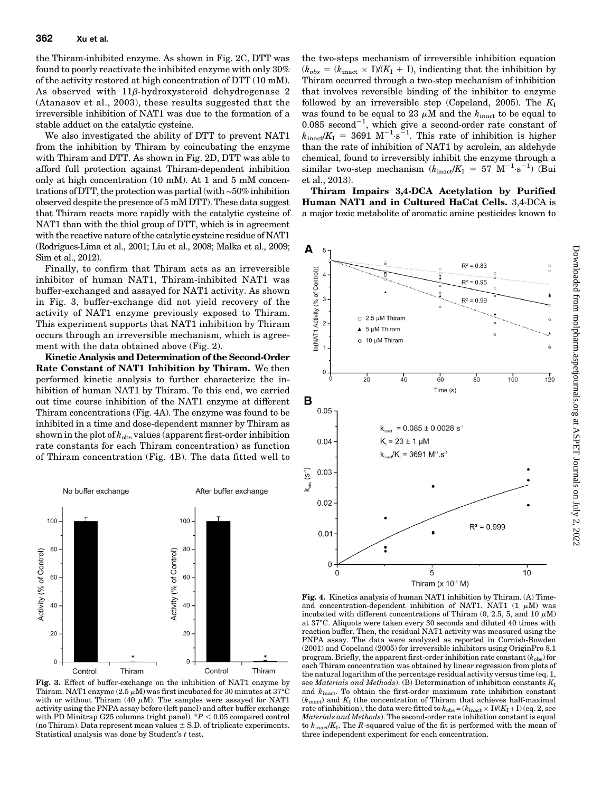the Thiram-inhibited enzyme. As shown in Fig. 2C, DTT was found to poorly reactivate the inhibited enzyme with only 30% of the activity restored at high concentration of DTT (10 mM). As observed with  $11\beta$ -hydroxysteroid dehydrogenase 2 (Atanasov et al., 2003), these results suggested that the irreversible inhibition of NAT1 was due to the formation of a stable adduct on the catalytic cysteine.

We also investigated the ability of DTT to prevent NAT1 from the inhibition by Thiram by coincubating the enzyme with Thiram and DTT. As shown in Fig. 2D, DTT was able to afford full protection against Thiram-dependent inhibition only at high concentration (10 mM). At 1 and 5 mM concentrations of DTT, the protection was partial (with∼50% inhibition observed despite the presence of 5 mM DTT). These data suggest that Thiram reacts more rapidly with the catalytic cysteine of NAT1 than with the thiol group of DTT, which is in agreement with the reactive nature of the catalytic cysteine residue of NAT1 (Rodrigues-Lima et al., 2001; Liu et al., 2008; Malka et al., 2009; Sim et al., 2012).

Finally, to confirm that Thiram acts as an irreversible inhibitor of human NAT1, Thiram-inhibited NAT1 was buffer-exchanged and assayed for NAT1 activity. As shown in Fig. 3, buffer-exchange did not yield recovery of the activity of NAT1 enzyme previously exposed to Thiram. This experiment supports that NAT1 inhibition by Thiram occurs through an irreversible mechanism, which is agreement with the data obtained above (Fig. 2).

Kinetic Analysis and Determination of the Second-Order Rate Constant of NAT1 Inhibition by Thiram. We then performed kinetic analysis to further characterize the inhibition of human NAT1 by Thiram. To this end, we carried out time course inhibition of the NAT1 enzyme at different Thiram concentrations (Fig. 4A). The enzyme was found to be inhibited in a time and dose-dependent manner by Thiram as shown in the plot of  $k_{obs}$  values (apparent first-order inhibition rate constants for each Thiram concentration) as function of Thiram concentration (Fig. 4B). The data fitted well to



Fig. 3. Effect of buffer-exchange on the inhibition of NAT1 enzyme by Thiram. NAT1 enzyme  $(2.5 \mu M)$  was first incubated for 30 minutes at 37 $\rm{^{\circ}C}$ with or without Thiram (40  $\mu$ M). The samples were assayed for NAT1 activity using the PNPA assay before (left panel) and after buffer exchange with PD Minitrap G25 columns (right panel).  $P < 0.05$  compared control (no Thiram). Data represent mean values  $\pm$  S.D. of triplicate experiments. Statistical analysis was done by Student's  $t$  test.

the two-steps mechanism of irreversible inhibition equation  $(k_{obs} = (k_{\text{inact}} \times I)/(K_I + I)$ , indicating that the inhibition by Thiram occurred through a two-step mechanism of inhibition that involves reversible binding of the inhibitor to enzyme followed by an irreversible step (Copeland, 2005). The  $K_I$ was found to be equal to 23  $\mu$ M and the  $k_{\text{inact}}$  to be equal to  $0.085$  second<sup>-1</sup>, which give a second-order rate constant of  $k_{\text{inact}}/K_{\text{I}} = 3691 \text{ M}^{-1} \text{ s}^{-1}$ . This rate of inhibition is higher than the rate of inhibition of NAT1 by acrolein, an aldehyde chemical, found to irreversibly inhibit the enzyme through a similar two-step mechanism  $(k_{\text{inact}}/K_I = 57 \text{ M}^{-1} \text{ s}^{-1})$  (Bui et al., 2013).

Thiram Impairs 3,4-DCA Acetylation by Purified Human NAT1 and in Cultured HaCat Cells. 3,4-DCA is a major toxic metabolite of aromatic amine pesticides known to



Fig. 4. Kinetics analysis of human NAT1 inhibition by Thiram. (A) Timeand concentration-dependent inhibition of NAT1. NAT1  $(1 \mu M)$  was incubated with different concentrations of Thiram (0, 2.5, 5, and 10  $\mu$ M) at 37°C. Aliquots were taken every 30 seconds and diluted 40 times with reaction buffer. Then, the residual NAT1 activity was measured using the PNPA assay. The data were analyzed as reported in Cornish-Bowden (2001) and Copeland (2005) for irreversible inhibitors using OriginPro 8.1 program. Briefly, the apparent first-order inhibition rate constant  $(k_{\text{obs}})$  for each Thiram concentration was obtained by linear regression from plots of the natural logarithm of the percentage residual activity versus time (eq. 1, see Materials and Methods). (B) Determination of inhibition constants  $K_I$ and  $k_{\text{inact}}$ . To obtain the first-order maximum rate inhibition constant  $(k_{\text{inact}})$  and  $K_I$  (the concentration of Thiram that achieves half-maximal rate of inhibition), the data were fitted to  $k_{\text{obs}} = (k_{\text{inact}} \times I)/(K_I + I)$  (eq. 2, see Materials and Methods). The second-order rate inhibition constant is equal to  $k_{\text{inact}}/K_I$ . The R-squared value of the fit is performed with the mean of three independent experiment for each concentration.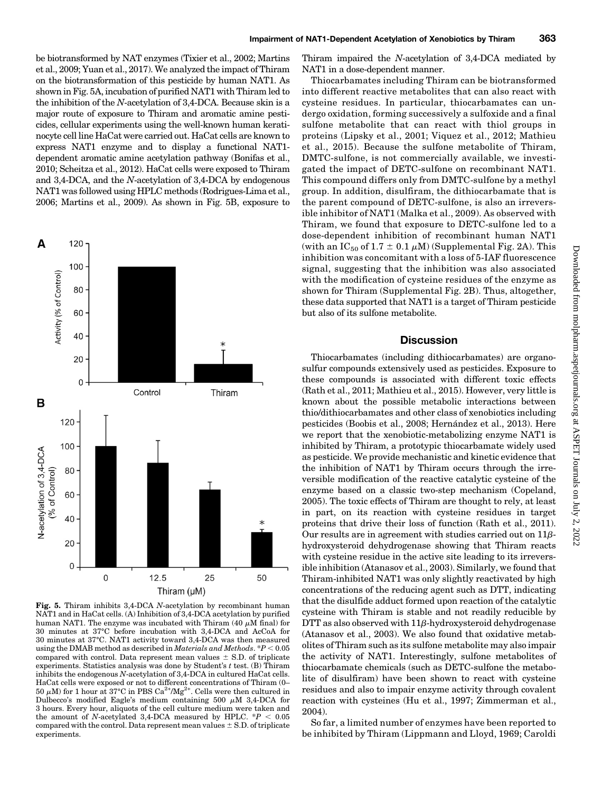be biotransformed by NAT enzymes (Tixier et al., 2002; Martins et al., 2009; Yuan et al., 2017). We analyzed the impact of Thiram on the biotransformation of this pesticide by human NAT1. As shown in Fig. 5A, incubation of purified NAT1 with Thiram led to the inhibition of the N-acetylation of 3,4-DCA. Because skin is a major route of exposure to Thiram and aromatic amine pesticides, cellular experiments using the well-known human keratinocyte cell line HaCat were carried out. HaCat cells are known to express NAT1 enzyme and to display a functional NAT1 dependent aromatic amine acetylation pathway (Bonifas et al., 2010; Scheitza et al., 2012). HaCat cells were exposed to Thiram and 3,4-DCA, and the N-acetylation of 3,4-DCA by endogenous NAT1 was followed using HPLC methods (Rodrigues-Lima et al., 2006; Martins et al., 2009). As shown in Fig. 5B, exposure to



Fig. 5. Thiram inhibits 3,4-DCA N-acetylation by recombinant human NAT1 and in HaCat cells. (A) Inhibition of 3,4-DCA acetylation by purified human NAT1. The enzyme was incubated with Thiram  $(40 \mu M \text{ final})$  for 30 minutes at 37°C before incubation with 3,4-DCA and AcCoA for 30 minutes at 37°C. NAT1 activity toward 3,4-DCA was then measured using the DMAB method as described in *Materials and Methods*.  $*P < 0.05$ compared with control. Data represent mean values  $\pm$  S.D. of triplicate experiments. Statistics analysis was done by Student's  $t$  test. (B) Thiram inhibits the endogenous N-acetylation of 3,4-DCA in cultured HaCat cells. HaCat cells were exposed or not to different concentrations of Thiram (0– 50  $\mu\textrm{M})$  for 1 hour at 37°C in PBS Ca<sup>2+</sup>/Mg<sup>2+</sup>. Cells were then cultured in Dulbecco's modified Eagle's medium containing 500  $\mu$ M 3,4-DCA for 3 hours. Every hour, aliquots of the cell culture medium were taken and the amount of N-acetylated 3,4-DCA measured by HPLC.  $*P < 0.05$ compared with the control. Data represent mean values  $\pm$  S.D. of triplicate experiments.

Thiram impaired the N-acetylation of 3,4-DCA mediated by NAT1 in a dose-dependent manner.

Thiocarbamates including Thiram can be biotransformed into different reactive metabolites that can also react with cysteine residues. In particular, thiocarbamates can undergo oxidation, forming successively a sulfoxide and a final sulfone metabolite that can react with thiol groups in proteins (Lipsky et al., 2001; Viquez et al., 2012; Mathieu et al., 2015). Because the sulfone metabolite of Thiram, DMTC-sulfone, is not commercially available, we investigated the impact of DETC-sulfone on recombinant NAT1. This compound differs only from DMTC-sulfone by a methyl group. In addition, disulfiram, the dithiocarbamate that is the parent compound of DETC-sulfone, is also an irreversible inhibitor of NAT1 (Malka et al., 2009). As observed with Thiram, we found that exposure to DETC-sulfone led to a dose-dependent inhibition of recombinant human NAT1 (with an  $IC_{50}$  of 1.7  $\pm$  0.1  $\mu$ M) ([Supplemental Fig. 2A\)](http://molpharm.aspetjournals.org/lookup/suppl/doi:10.1124/mol.117.108662/-/DC1). This inhibition was concomitant with a loss of 5-IAF fluorescence signal, suggesting that the inhibition was also associated with the modification of cysteine residues of the enzyme as shown for Thiram [\(Supplemental Fig. 2B\)](http://molpharm.aspetjournals.org/lookup/suppl/doi:10.1124/mol.117.108662/-/DC1). Thus, altogether, these data supported that NAT1 is a target of Thiram pesticide but also of its sulfone metabolite.

## **Discussion**

Thiocarbamates (including dithiocarbamates) are organosulfur compounds extensively used as pesticides. Exposure to these compounds is associated with different toxic effects (Rath et al., 2011; Mathieu et al., 2015). However, very little is known about the possible metabolic interactions between thio/dithiocarbamates and other class of xenobiotics including pesticides (Boobis et al., 2008; Hernández et al., 2013). Here we report that the xenobiotic-metabolizing enzyme NAT1 is inhibited by Thiram, a prototypic thiocarbamate widely used as pesticide. We provide mechanistic and kinetic evidence that the inhibition of NAT1 by Thiram occurs through the irreversible modification of the reactive catalytic cysteine of the enzyme based on a classic two-step mechanism (Copeland, 2005). The toxic effects of Thiram are thought to rely, at least in part, on its reaction with cysteine residues in target proteins that drive their loss of function (Rath et al., 2011). Our results are in agreement with studies carried out on  $11\beta$ hydroxysteroid dehydrogenase showing that Thiram reacts with cysteine residue in the active site leading to its irreversible inhibition (Atanasov et al., 2003). Similarly, we found that Thiram-inhibited NAT1 was only slightly reactivated by high concentrations of the reducing agent such as DTT, indicating that the disulfide adduct formed upon reaction of the catalytic cysteine with Thiram is stable and not readily reducible by  $DTT$  as also observed with  $11\beta$ -hydroxysteroid dehydrogenase (Atanasov et al., 2003). We also found that oxidative metabolites of Thiram such as its sulfone metabolite may also impair the activity of NAT1. Interestingly, sulfone metabolites of thiocarbamate chemicals (such as DETC-sulfone the metabolite of disulfiram) have been shown to react with cysteine residues and also to impair enzyme activity through covalent reaction with cysteines (Hu et al., 1997; Zimmerman et al., 2004).

So far, a limited number of enzymes have been reported to be inhibited by Thiram (Lippmann and Lloyd, 1969; Caroldi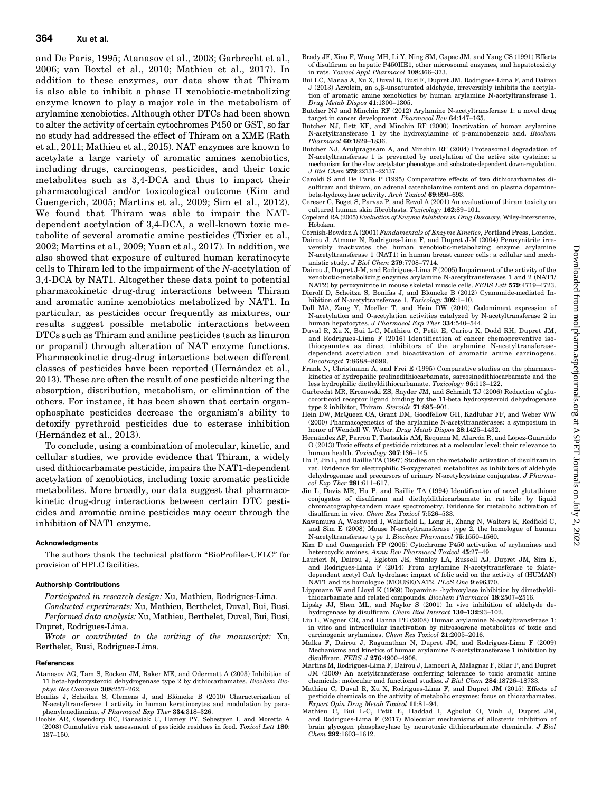and De Paris, 1995; Atanasov et al., 2003; Garbrecht et al., 2006; van Boxtel et al., 2010; Mathieu et al., 2017). In addition to these enzymes, our data show that Thiram is also able to inhibit a phase II xenobiotic-metabolizing enzyme known to play a major role in the metabolism of arylamine xenobiotics. Although other DTCs had been shown to alter the activity of certain cytochromes P450 or GST, so far no study had addressed the effect of Thiram on a XME (Rath et al., 2011; Mathieu et al., 2015). NAT enzymes are known to acetylate a large variety of aromatic amines xenobiotics, including drugs, carcinogens, pesticides, and their toxic metabolites such as 3,4-DCA and thus to impact their pharmacological and/or toxicological outcome (Kim and Guengerich, 2005; Martins et al., 2009; Sim et al., 2012). We found that Thiram was able to impair the NATdependent acetylation of 3,4-DCA, a well-known toxic metabolite of several aromatic amine pesticides (Tixier et al., 2002; Martins et al., 2009; Yuan et al., 2017). In addition, we also showed that exposure of cultured human keratinocyte cells to Thiram led to the impairment of the N-acetylation of 3,4-DCA by NAT1. Altogether these data point to potential pharmacokinetic drug-drug interactions between Thiram and aromatic amine xenobiotics metabolized by NAT1. In particular, as pesticides occur frequently as mixtures, our results suggest possible metabolic interactions between DTCs such as Thiram and aniline pesticides (such as linuron or propanil) through alteration of NAT enzyme functions. Pharmacokinetic drug-drug interactions between different classes of pesticides have been reported (Hernández et al., 2013). These are often the result of one pesticide altering the absorption, distribution, metabolism, or elimination of the others. For instance, it has been shown that certain organophosphate pesticides decrease the organism's ability to detoxify pyrethroid pesticides due to esterase inhibition (Hernández et al., 2013).

To conclude, using a combination of molecular, kinetic, and cellular studies, we provide evidence that Thiram, a widely used dithiocarbamate pesticide, impairs the NAT1-dependent acetylation of xenobiotics, including toxic aromatic pesticide metabolites. More broadly, our data suggest that pharmacokinetic drug-drug interactions between certain DTC pesticides and aromatic amine pesticides may occur through the inhibition of NAT1 enzyme.

#### Acknowledgments

The authors thank the technical platform "BioProfiler-UFLC" for provision of HPLC facilities.

#### Authorship Contributions

Participated in research design: Xu, Mathieu, Rodrigues-Lima.

- Conducted experiments: Xu, Mathieu, Berthelet, Duval, Bui, Busi. Performed data analysis: Xu, Mathieu, Berthelet, Duval, Bui, Busi, Dupret, Rodrigues-Lima.
- Wrote or contributed to the writing of the manuscript: Xu, Berthelet, Busi, Rodrigues-Lima.

#### **References**

- Atanasov AG, Tam S, Röcken JM, Baker ME, and Odermatt A (2003) Inhibition of 11 beta-hydroxysteroid dehydrogenase type 2 by dithiocarbamates. Biochem Biophys Res Commun 308:257–262.
- Bonifas J, Scheitza S, Clemens J, and Blömeke B (2010) Characterization of N-acetyltransferase 1 activity in human keratinocytes and modulation by paraphenylenediamine. J Pharmacol Exp Ther 334:318–326.
- Boobis AR, Ossendorp BC, Banasiak U, Hamey PY, Sebestyen I, and Moretto A (2008) Cumulative risk assessment of pesticide residues in food. Toxicol Lett 180: 137–150.
- Brady JF, Xiao F, Wang MH, Li Y, Ning SM, Gapac JM, and Yang CS (1991) Effects of disulfiram on hepatic P450IIE1, other microsomal enzymes, and hepatotoxicity in rats. Toxicol Appl Pharmacol 108:366–373.
- Bui LC, Manaa A, Xu X, Duval R, Busi F, Dupret JM, Rodrigues-Lima F, and Dairou J (2013) Acrolein, an  $\alpha$ ,  $\beta$ -unsaturated aldehyde, irreversibly inhibits the acetylation of aromatic amine xenobiotics by human arylamine N-acetyltransferase 1. Drug Metab Dispos 41:1300–1305.
- Butcher NJ and Minchin RF (2012) Arylamine N-acetyltransferase 1: a novel drug target in cancer development. Pharmacol Rev 64:147–165.
- Butcher NJ, Ilett KF, and Minchin RF (2000) Inactivation of human arylamine N-acetyltransferase 1 by the hydroxylamine of p-aminobenzoic acid. Biochem Pharmacol 60:1829–1836.
- Butcher NJ, Arulpragasam A, and Minchin RF (2004) Proteasomal degradation of N-acetyltransferase 1 is prevented by acetylation of the active site cysteine: a mechanism for the slow acetylator phenotype and substrate-dependent down-regulation. J Biol Chem 279:22131–22137.
- Caroldi S and De Paris P (1995) Comparative effects of two dithiocarbamates disulfiram and thiram, on adrenal catecholamine content and on plasma dopaminebeta-hydroxylase activity. Arch Toxicol 69:690–693.
- Cereser C, Boget S, Parvaz P, and Revol A (2001) An evaluation of thiram toxicity on cultured human skin fibroblasts. Toxicology 162:89–101.
- Copeland RA (2005) Evaluation of Enzyme Inhibitors in Drug Discovery, Wiley-Interscience, Hoboken.
- Cornish-Bowden A (2001) Fundamentals of Enzyme Kinetics, Portland Press, London.
- Dairou J, Atmane N, Rodrigues-Lima F, and Dupret J-M (2004) Peroxynitrite irreversibly inactivates the human xenobiotic-metabolizing enzyme arylamine N-acetyltransferase 1 (NAT1) in human breast cancer cells: a cellular and mechanistic study. J Biol Chem 279:7708–7714.
- Dairou J, Dupret J-M, and Rodrigues-Lima F (2005) Impairment of the activity of the xenobiotic-metabolizing enzymes arylamine N-acetyltransferases 1 and 2 (NAT1/
- NAT2) by peroxynitrite in mouse skeletal muscle cells. FEBS Lett 579:4719–4723.<br>Dierolf D, Scheitza S, Bonifas J, and Blömeke B (2012) Cyanamide-mediated Inhibition of N-acetyltransferase 1. Toxicology 302:1-10.
- Doll MA, Zang Y, Moeller T, and Hein DW (2010) Codominant expression of N-acetylation and O-acetylation activities catalyzed by N-acetyltransferase 2 in human hepatocytes. J Pharmacol Exp Ther 334:540–544.
- Duval R, Xu X, Bui L-C, Mathieu C, Petit E, Cariou K, Dodd RH, Dupret JM, and Rodrigues-Lima F (2016) Identification of cancer chemopreventive isothiocyanates as direct inhibitors of the arylamine N-acetyltransferasedependent acetylation and bioactivation of aromatic amine carcinogens. Oncotarget 7:8688–8699.
- Frank N, Christmann A, and Frei E (1995) Comparative studies on the pharmacokinetics of hydrophilic prolinedithiocarbamate, sarcosinedithiocarbamate and the less hydrophilic diethyldithiocarbamate. Toxicology 95:113–122.
- Garbrecht MR, Krozowski ZS, Snyder JM, and Schmidt TJ (2006) Reduction of glucocorticoid receptor ligand binding by the 11-beta hydroxysteroid dehydrogenase type 2 inhibitor, Thiram. Steroids 71:895–901.
- Hein DW, McQueen CA, Grant DM, Goodfellow GH, Kadlubar FF, and Weber WW (2000) Pharmacogenetics of the arylamine N-acetyltransferases: a symposium in honor of Wendell W. Weber. Drug Metab Dispos 28:1425-1432.
- Hernández AF, Parrón T, Tsatsakis AM, Requena M, Alarcón R, and López-Guarnido O (2013) Toxic effects of pesticide mixtures at a molecular level: their relevance to human health. Toxicology 307:136–145.
- Hu P, Jin L, and Baillie TA (1997) Studies on the metabolic activation of disulfiram in rat. Evidence for electrophilic S-oxygenated metabolites as inhibitors of aldehyde dehydrogenase and precursors of urinary N-acetylcysteine conjugates. J Pharma $col$  Exp Ther 281:611-617.
- Jin L, Davis MR, Hu P, and Baillie TA (1994) Identification of novel glutathione conjugates of disulfiram and diethyldithiocarbamate in rat bile by liquid chromatography-tandem mass spectrometry. Evidence for metabolic activation of disulfiram in vivo. Chem Res Toxicol 7:526–533.
- Kawamura A, Westwood I, Wakefield L, Long H, Zhang N, Walters K, Redfield C, and Sim E (2008) Mouse N-acetyltransferase type 2, the homologue of human N-acetyltransferase type 1. Biochem Pharmacol 75:1550–1560.
- Kim D and Guengerich FP (2005) Cytochrome P450 activation of arylamines and heterocyclic amines. Annu Rev Pharmacol Toxicol 45:27–49.
- Laurieri N, Dairou J, Egleton JE, Stanley LA, Russell AJ, Dupret JM, Sim E, and Rodrigues-Lima F (2014) From arylamine N-acetyltransferase to folatedependent acetyl CoA hydrolase: impact of folic acid on the activity of (HUMAN) NAT1 and its homologue (MOUSE)NAT2. PLoS One 9:e96370.
- Lippmann W and Lloyd K (1969) Dopamine- -hydroxylase inhibition by dimethyldithiocarbamate and related compounds. Biochem Pharmacol 18:2507–2516. Lipsky JJ, Shen ML, and Naylor S (2001) In vivo inhibition of aldehyde de-
- hydrogenase by disulfiram. Chem Biol Interact 130–132:93–102.
- Liu L, Wagner CR, and Hanna PE (2008) Human arylamine N-acetyltransferase 1: in vitro and intracellular inactivation by nitrosoarene metabolites of toxic and carcinogenic arylamines. Chem Res Toxicol 21:2005–2016.
- Malka F, Dairou J, Ragunathan N, Dupret JM, and Rodrigues-Lima F (2009) Mechanisms and kinetics of human arylamine N-acetyltransferase 1 inhibition by disulfiram. FEBS J 276:4900-4908.
- Martins M, Rodrigues-Lima F, Dairou J, Lamouri A, Malagnac F, Silar P, and Dupret JM (2009) An acetyltransferase conferring tolerance to toxic aromatic amine chemicals: molecular and functional studies. J Biol Chem 284:18726–18733.
- Mathieu C, Duval R, Xu X, Rodrigues-Lima F, and Dupret JM (2015) Effects of pesticide chemicals on the activity of metabolic enzymes: focus on thiocarbamates. Expert Opin Drug Metab Toxicol 11:81–94.
- Mathieu C, Bui L-C, Petit E, Haddad I, Agbulut O, Vinh J, Dupret JM, and Rodrigues-Lima F (2017) Molecular mechanisms of allosteric inhibition of brain glycogen phosphorylase by neurotoxic dithiocarbamate chemicals. J Biol Chem 292:1603–1612.